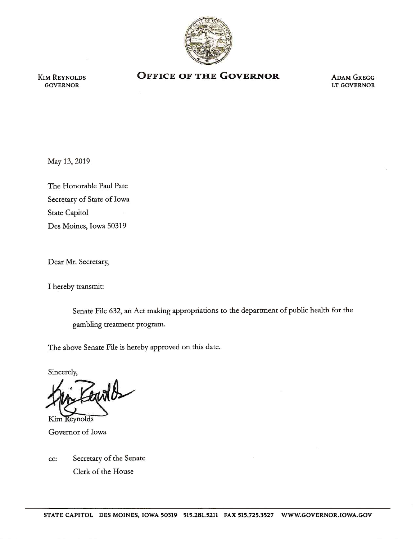

KIM REYNOLDS **GOVERNOR** 

## **OFFICE OF THE GOVERNOR ADAM GREGG**

LT GOVERNOR

May 13, 2019

The Honorable Paul Pate Secretary of State of Iowa State Capitol Des Moines, Iowa 50319

Dear Mr. Secretary,

I hereby transmit:

Senate File 632, an Act making appropriations to the department of public health for the gambling treatment program.

The above Senate File is hereby approved on this date.

Sincerely,

 $x/b$ 

Kim Reynolds Governor of Iowa

cc: Secretary of the Senate Clerk of the House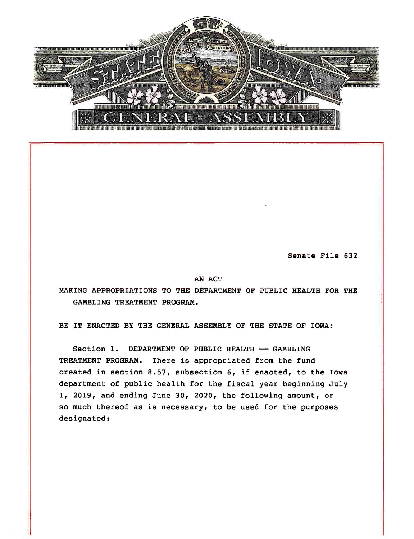

Senate File 632

## AN ACT

MAKING APPROPRIATIONS TO THE DEPARTMENT OF PUBLIC HEALTH FOR THE GAMBLING TREATMENT PROGRAM.

BE IT ENACTED BY THE GENERAL ASSEMBLY OF THE STATE OF IOWA:

Section 1. DEPARTMENT OF PUBLIC HEALTH  $-$  GAMBLING TREATMENT PROGRAM. There is appropriated from the fund created in section 8.57, subsection 6, if enacted, to the Iowa department of public health for the fiscal year beginning July 1, 2019, and ending June 30, 2020, the following amount, or so much thereof as is necessary, to be used for the purposes designated: